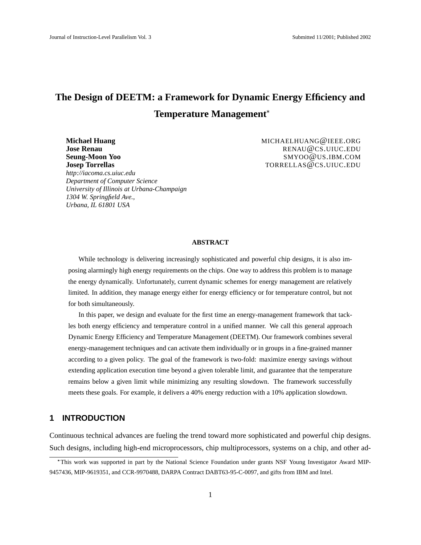# **The Design of DEETM: a Framework for Dynamic Energy Efficiency and Temperature Management**

**Michael Huang** MICHAELHUANG@IEEE.ORG **Jose Renau** RENAU@CS.UIUC.EDU **Seung-Moon Yoo** SMYOO@US.IBM.COM **Josep Torrellas** Torrellas Torrellas Torrellas Torrellas Torrellas Torrellas Torrellas Torrellas Torrellas Torrellas Torrellas Torrellas Torrellas Torrellas Torrellas Torrellas Torrellas Torrellas Torrellas Torrellas Torr *http://iacoma.cs.uiuc.edu Department of Computer Science University of Illinois at Urbana-Champaign 1304 W. Springfield Ave., Urbana, IL 61801 USA*

#### **ABSTRACT**

While technology is delivering increasingly sophisticated and powerful chip designs, it is also imposing alarmingly high energy requirements on the chips. One way to address this problem is to manage the energy dynamically. Unfortunately, current dynamic schemes for energy management are relatively limited. In addition, they manage energy either for energy efficiency or for temperature control, but not for both simultaneously.

In this paper, we design and evaluate for the first time an energy-management framework that tackles both energy efficiency and temperature control in a unified manner. We call this general approach Dynamic Energy Efficiency and Temperature Management (DEETM). Our framework combines several energy-management techniques and can activate them individually or in groups in a fine-grained manner according to a given policy. The goal of the framework is two-fold: maximize energy savings without extending application execution time beyond a given tolerable limit, and guarantee that the temperature remains below a given limit while minimizing any resulting slowdown. The framework successfully meets these goals. For example, it delivers a 40% energy reduction with a 10% application slowdown.

# **1 INTRODUCTION**

Continuous technical advances are fueling the trend toward more sophisticated and powerful chip designs. Such designs, including high-end microprocessors, chip multiprocessors, systems on a chip, and other ad-

This work was supported in part by the National Science Foundation under grants NSF Young Investigator Award MIP-9457436, MIP-9619351, and CCR-9970488, DARPA Contract DABT63-95-C-0097, and gifts from IBM and Intel.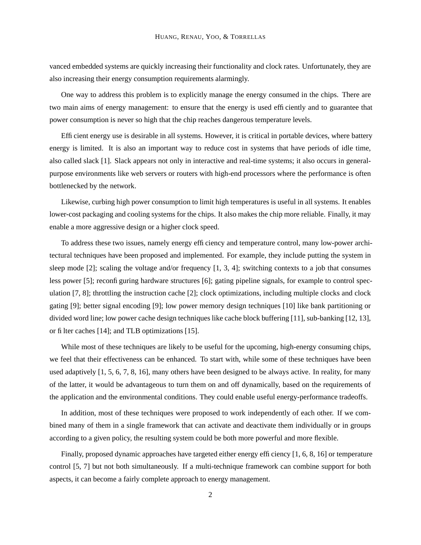vanced embedded systems are quickly increasing their functionality and clock rates. Unfortunately, they are also increasing their energy consumption requirements alarmingly.

One way to address this problem is to explicitly manage the energy consumed in the chips. There are two main aims of energy management: to ensure that the energy is used efficiently and to guarantee that power consumption is never so high that the chip reaches dangerous temperature levels.

Efficient energy use is desirable in all systems. However, it is critical in portable devices, where battery energy is limited. It is also an important way to reduce cost in systems that have periods of idle time, also called slack [1]. Slack appears not only in interactive and real-time systems; it also occurs in generalpurpose environments like web servers or routers with high-end processors where the performance is often bottlenecked by the network.

Likewise, curbing high power consumption to limit high temperatures is useful in all systems. It enables lower-cost packaging and cooling systems for the chips. It also makes the chip more reliable. Finally, it may enable a more aggressive design or a higher clock speed.

To address these two issues, namely energy efficiency and temperature control, many low-power architectural techniques have been proposed and implemented. For example, they include putting the system in sleep mode  $[2]$ ; scaling the voltage and/or frequency  $[1, 3, 4]$ ; switching contexts to a job that consumes less power [5]; reconfiguring hardware structures [6]; gating pipeline signals, for example to control speculation [7, 8]; throttling the instruction cache [2]; clock optimizations, including multiple clocks and clock gating [9]; better signal encoding [9]; low power memory design techniques [10] like bank partitioning or divided word line; low power cache design techniques like cache block buffering [11], sub-banking [12, 13], or filter caches [14]; and TLB optimizations [15].

While most of these techniques are likely to be useful for the upcoming, high-energy consuming chips, we feel that their effectiveness can be enhanced. To start with, while some of these techniques have been used adaptively [1, 5, 6, 7, 8, 16], many others have been designed to be always active. In reality, for many of the latter, it would be advantageous to turn them on and off dynamically, based on the requirements of the application and the environmental conditions. They could enable useful energy-performance tradeoffs.

In addition, most of these techniques were proposed to work independently of each other. If we combined many of them in a single framework that can activate and deactivate them individually or in groups according to a given policy, the resulting system could be both more powerful and more flexible.

Finally, proposed dynamic approaches have targeted either energy efficiency [1, 6, 8, 16] or temperature control [5, 7] but not both simultaneously. If a multi-technique framework can combine support for both aspects, it can become a fairly complete approach to energy management.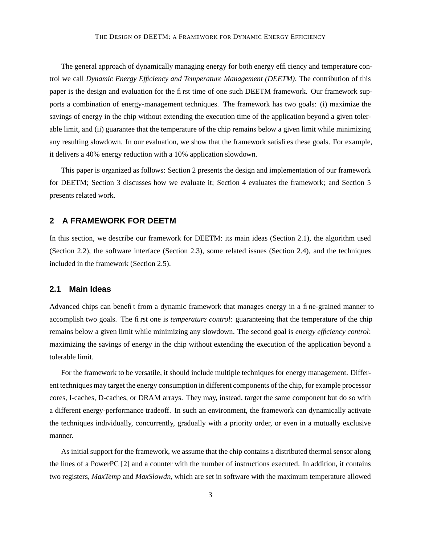The general approach of dynamically managing energy for both energy efficiency and temperature control we call *Dynamic Energy Efficiency and Temperature Management (DEETM)*. The contribution of this paper is the design and evaluation for the first time of one such DEETM framework. Our framework supports a combination of energy-management techniques. The framework has two goals: (i) maximize the savings of energy in the chip without extending the execution time of the application beyond a given tolerable limit, and (ii) guarantee that the temperature of the chip remains below a given limit while minimizing any resulting slowdown. In our evaluation, we show that the framework satisfies these goals. For example, it delivers a 40% energy reduction with a 10% application slowdown.

This paper is organized as follows: Section 2 presents the design and implementation of our framework for DEETM; Section 3 discusses how we evaluate it; Section 4 evaluates the framework; and Section 5 presents related work.

# **2 A FRAMEWORK FOR DEETM**

In this section, we describe our framework for DEETM: its main ideas (Section 2.1), the algorithm used (Section 2.2), the software interface (Section 2.3), some related issues (Section 2.4), and the techniques included in the framework (Section 2.5).

### **2.1 Main Ideas**

Advanced chips can benefit from a dynamic framework that manages energy in a fine-grained manner to accomplish two goals. The first one is *temperature control*: guaranteeing that the temperature of the chip remains below a given limit while minimizing any slowdown. The second goal is *energy efficiency control*: maximizing the savings of energy in the chip without extending the execution of the application beyond a tolerable limit.

For the framework to be versatile, it should include multiple techniques for energy management. Different techniques may target the energy consumption in different components of the chip, for example processor cores, I-caches, D-caches, or DRAM arrays. They may, instead, target the same component but do so with a different energy-performance tradeoff. In such an environment, the framework can dynamically activate the techniques individually, concurrently, gradually with a priority order, or even in a mutually exclusive manner.

As initial support for the framework, we assume that the chip contains a distributed thermal sensor along the lines of a PowerPC [2] and a counter with the number of instructions executed. In addition, it contains two registers, *MaxTemp* and *MaxSlowdn*, which are set in software with the maximum temperature allowed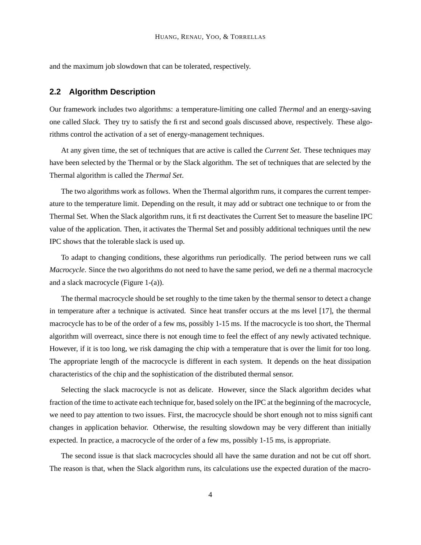and the maximum job slowdown that can be tolerated, respectively.

# **2.2 Algorithm Description**

Our framework includes two algorithms: a temperature-limiting one called *Thermal* and an energy-saving one called *Slack*. They try to satisfy the first and second goals discussed above, respectively. These algorithms control the activation of a set of energy-management techniques.

At any given time, the set of techniques that are active is called the *Current Set*. These techniques may have been selected by the Thermal or by the Slack algorithm. The set of techniques that are selected by the Thermal algorithm is called the *Thermal Set*.

The two algorithms work as follows. When the Thermal algorithm runs, it compares the current temperature to the temperature limit. Depending on the result, it may add or subtract one technique to or from the Thermal Set. When the Slack algorithm runs, it first deactivates the Current Set to measure the baseline IPC value of the application. Then, it activates the Thermal Set and possibly additional techniques until the new IPC shows that the tolerable slack is used up.

To adapt to changing conditions, these algorithms run periodically. The period between runs we call *Macrocycle*. Since the two algorithms do not need to have the same period, we define a thermal macrocycle and a slack macrocycle (Figure 1-(a)).

The thermal macrocycle should be set roughly to the time taken by the thermal sensor to detect a change in temperature after a technique is activated. Since heat transfer occurs at the ms level [17], the thermal macrocycle has to be of the order of a few ms, possibly 1-15 ms. If the macrocycle is too short, the Thermal algorithm will overreact, since there is not enough time to feel the effect of any newly activated technique. However, if it is too long, we risk damaging the chip with a temperature that is over the limit for too long. The appropriate length of the macrocycle is different in each system. It depends on the heat dissipation characteristics of the chip and the sophistication of the distributed thermal sensor.

Selecting the slack macrocycle is not as delicate. However, since the Slack algorithm decides what fraction of the time to activate each technique for, based solely on the IPC at the beginning of the macrocycle, we need to pay attention to two issues. First, the macrocycle should be short enough not to miss significant changes in application behavior. Otherwise, the resulting slowdown may be very different than initially expected. In practice, a macrocycle of the order of a few ms, possibly 1-15 ms, is appropriate.

The second issue is that slack macrocycles should all have the same duration and not be cut off short. The reason is that, when the Slack algorithm runs, its calculations use the expected duration of the macro-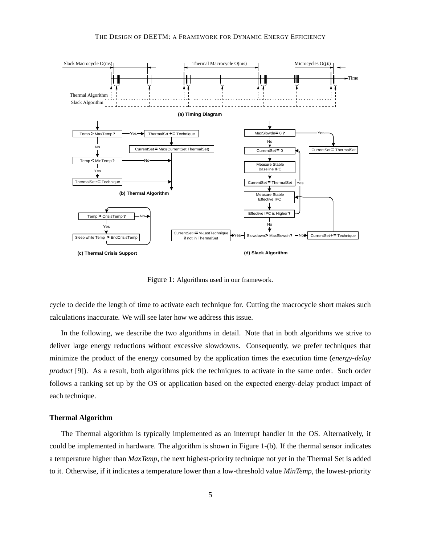

Figure 1: Algorithms used in our framework.

cycle to decide the length of time to activate each technique for. Cutting the macrocycle short makes such calculations inaccurate. We will see later how we address this issue.

In the following, we describe the two algorithms in detail. Note that in both algorithms we strive to deliver large energy reductions without excessive slowdowns. Consequently, we prefer techniques that minimize the product of the energy consumed by the application times the execution time (*energy-delay product* [9]). As a result, both algorithms pick the techniques to activate in the same order. Such order follows a ranking set up by the OS or application based on the expected energy-delay product impact of each technique.

#### **Thermal Algorithm**

The Thermal algorithm is typically implemented as an interrupt handler in the OS. Alternatively, it could be implemented in hardware. The algorithm is shown in Figure 1-(b). If the thermal sensor indicates a temperature higher than *MaxTemp*, the next highest-priority technique not yet in the Thermal Set is added to it. Otherwise, if it indicates a temperature lower than a low-threshold value *MinTemp*, the lowest-priority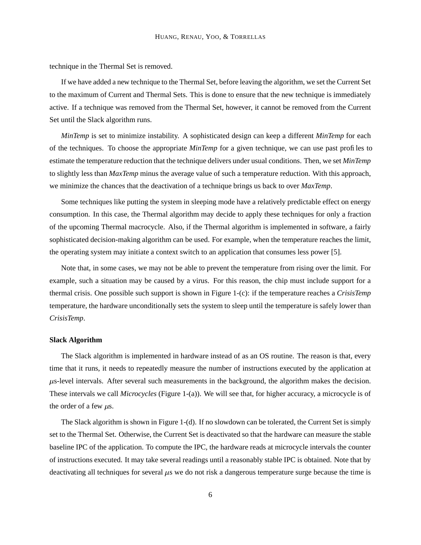technique in the Thermal Set is removed.

If we have added a new technique to the Thermal Set, before leaving the algorithm, we set the Current Set to the maximum of Current and Thermal Sets. This is done to ensure that the new technique is immediately active. If a technique was removed from the Thermal Set, however, it cannot be removed from the Current Set until the Slack algorithm runs.

*MinTemp* is set to minimize instability. A sophisticated design can keep a different *MinTemp* for each of the techniques. To choose the appropriate *MinTemp* for a given technique, we can use past profiles to estimate the temperature reduction that the technique delivers under usual conditions. Then, we set *MinTemp* to slightly less than *MaxTemp* minus the average value of such a temperature reduction. With this approach, we minimize the chances that the deactivation of a technique brings us back to over *MaxTemp*.

Some techniques like putting the system in sleeping mode have a relatively predictable effect on energy consumption. In this case, the Thermal algorithm may decide to apply these techniques for only a fraction of the upcoming Thermal macrocycle. Also, if the Thermal algorithm is implemented in software, a fairly sophisticated decision-making algorithm can be used. For example, when the temperature reaches the limit, the operating system may initiate a context switch to an application that consumes less power [5].

Note that, in some cases, we may not be able to prevent the temperature from rising over the limit. For example, such a situation may be caused by a virus. For this reason, the chip must include support for a thermal crisis. One possible such support is shown in Figure 1-(c): if the temperature reaches a *CrisisTemp* temperature, the hardware unconditionally sets the system to sleep until the temperature is safely lower than *CrisisTemp*.

#### **Slack Algorithm**

The Slack algorithm is implemented in hardware instead of as an OS routine. The reason is that, every time that it runs, it needs to repeatedly measure the number of instructions executed by the application at  $\mu$ s-level intervals. After several such measurements in the background, the algorithm makes the decision. These intervals we call *Microcycles* (Figure 1-(a)). We will see that, for higher accuracy, a microcycle is of the order of a few  $\mu$ s.

The Slack algorithm is shown in Figure 1-(d). If no slowdown can be tolerated, the Current Set is simply set to the Thermal Set. Otherwise, the Current Set is deactivated so that the hardware can measure the stable baseline IPC of the application. To compute the IPC, the hardware reads at microcycle intervals the counter of instructions executed. It may take several readings until a reasonably stable IPC is obtained. Note that by deactivating all techniques for several  $\mu$ s we do not risk a dangerous temperature surge because the time is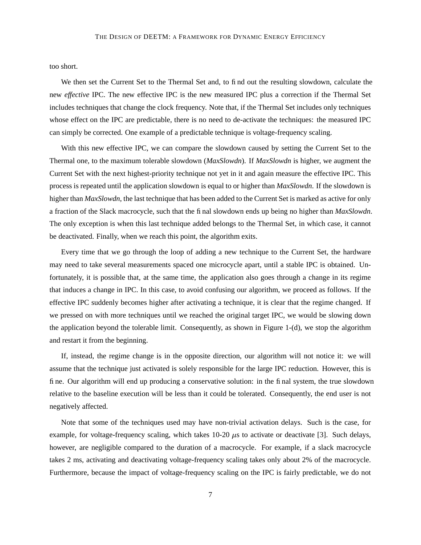too short.

We then set the Current Set to the Thermal Set and, to find out the resulting slowdown, calculate the new *effective* IPC. The new effective IPC is the new measured IPC plus a correction if the Thermal Set includes techniques that change the clock frequency. Note that, if the Thermal Set includes only techniques whose effect on the IPC are predictable, there is no need to de-activate the techniques: the measured IPC can simply be corrected. One example of a predictable technique is voltage-frequency scaling.

With this new effective IPC, we can compare the slowdown caused by setting the Current Set to the Thermal one, to the maximum tolerable slowdown (*MaxSlowdn*). If *MaxSlowdn* is higher, we augment the Current Set with the next highest-priority technique not yet in it and again measure the effective IPC. This process is repeated until the application slowdown is equal to or higher than *MaxSlowdn*. If the slowdown is higher than *MaxSlowdn*, the last technique that has been added to the Current Set is marked as active for only a fraction of the Slack macrocycle, such that the final slowdown ends up being no higher than *MaxSlowdn*. The only exception is when this last technique added belongs to the Thermal Set, in which case, it cannot be deactivated. Finally, when we reach this point, the algorithm exits.

Every time that we go through the loop of adding a new technique to the Current Set, the hardware may need to take several measurements spaced one microcycle apart, until a stable IPC is obtained. Unfortunately, it is possible that, at the same time, the application also goes through a change in its regime that induces a change in IPC. In this case, to avoid confusing our algorithm, we proceed as follows. If the effective IPC suddenly becomes higher after activating a technique, it is clear that the regime changed. If we pressed on with more techniques until we reached the original target IPC, we would be slowing down the application beyond the tolerable limit. Consequently, as shown in Figure 1-(d), we stop the algorithm and restart it from the beginning.

If, instead, the regime change is in the opposite direction, our algorithm will not notice it: we will assume that the technique just activated is solely responsible for the large IPC reduction. However, this is fine. Our algorithm will end up producing a conservative solution: in the final system, the true slowdown relative to the baseline execution will be less than it could be tolerated. Consequently, the end user is not negatively affected.

Note that some of the techniques used may have non-trivial activation delays. Such is the case, for example, for voltage-frequency scaling, which takes  $10\n-20$   $\mu$ s to activate or deactivate [3]. Such delays, however, are negligible compared to the duration of a macrocycle. For example, if a slack macrocycle takes 2 ms, activating and deactivating voltage-frequency scaling takes only about 2% of the macrocycle. Furthermore, because the impact of voltage-frequency scaling on the IPC is fairly predictable, we do not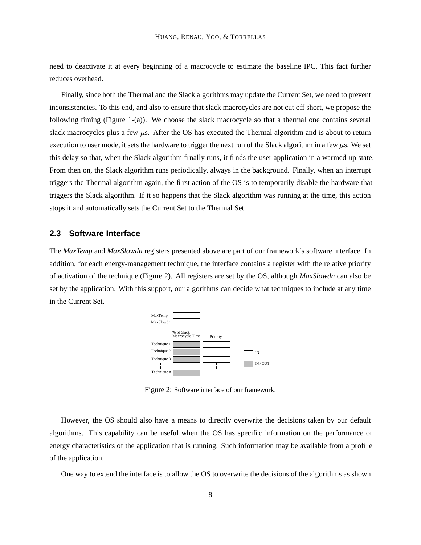need to deactivate it at every beginning of a macrocycle to estimate the baseline IPC. This fact further reduces overhead.

Finally, since both the Thermal and the Slack algorithms may update the Current Set, we need to prevent inconsistencies. To this end, and also to ensure that slack macrocycles are not cut off short, we propose the following timing (Figure 1-(a)). We choose the slack macrocycle so that a thermal one contains several slack macrocycles plus a few  $\mu$ s. After the OS has executed the Thermal algorithm and is about to return execution to user mode, it sets the hardware to trigger the next run of the Slack algorithm in a few  $\mu$ s. We set this delay so that, when the Slack algorithm finally runs, it finds the user application in a warmed-up state. From then on, the Slack algorithm runs periodically, always in the background. Finally, when an interrupt triggers the Thermal algorithm again, the first action of the OS is to temporarily disable the hardware that triggers the Slack algorithm. If it so happens that the Slack algorithm was running at the time, this action stops it and automatically sets the Current Set to the Thermal Set.

### **2.3 Software Interface**

The *MaxTemp* and *MaxSlowdn* registers presented above are part of our framework's software interface. In addition, for each energy-management technique, the interface contains a register with the relative priority of activation of the technique (Figure 2). All registers are set by the OS, although *MaxSlowdn* can also be set by the application. With this support, our algorithms can decide what techniques to include at any time in the Current Set.



Figure 2: Software interface of our framework.

However, the OS should also have a means to directly overwrite the decisions taken by our default algorithms. This capability can be useful when the OS has specific information on the performance or energy characteristics of the application that is running. Such information may be available from a profile of the application.

One way to extend the interface is to allow the OS to overwrite the decisions of the algorithms as shown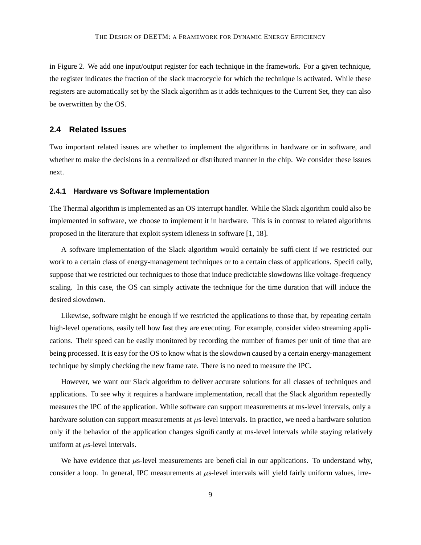in Figure 2. We add one input/output register for each technique in the framework. For a given technique, the register indicates the fraction of the slack macrocycle for which the technique is activated. While these registers are automatically set by the Slack algorithm as it adds techniques to the Current Set, they can also be overwritten by the OS.

# **2.4 Related Issues**

Two important related issues are whether to implement the algorithms in hardware or in software, and whether to make the decisions in a centralized or distributed manner in the chip. We consider these issues next.

#### **2.4.1 Hardware vs Software Implementation**

The Thermal algorithm is implemented as an OS interrupt handler. While the Slack algorithm could also be implemented in software, we choose to implement it in hardware. This is in contrast to related algorithms proposed in the literature that exploit system idleness in software [1, 18].

A software implementation of the Slack algorithm would certainly be sufficient if we restricted our work to a certain class of energy-management techniques or to a certain class of applications. Specifically, suppose that we restricted our techniques to those that induce predictable slowdowns like voltage-frequency scaling. In this case, the OS can simply activate the technique for the time duration that will induce the desired slowdown.

Likewise, software might be enough if we restricted the applications to those that, by repeating certain high-level operations, easily tell how fast they are executing. For example, consider video streaming applications. Their speed can be easily monitored by recording the number of frames per unit of time that are being processed. It is easy for the OS to know what is the slowdown caused by a certain energy-management technique by simply checking the new frame rate. There is no need to measure the IPC.

However, we want our Slack algorithm to deliver accurate solutions for all classes of techniques and applications. To see why it requires a hardware implementation, recall that the Slack algorithm repeatedly measures the IPC of the application. While software can support measurements at ms-level intervals, only a hardware solution can support measurements at  $\mu$ s-level intervals. In practice, we need a hardware solution only if the behavior of the application changes significantly at ms-level intervals while staying relatively uniform at  $\mu$ s-level intervals.

We have evidence that  $\mu$ s-level measurements are beneficial in our applications. To understand why, consider a loop. In general, IPC measurements at  $\mu$ s-level intervals will yield fairly uniform values, irre-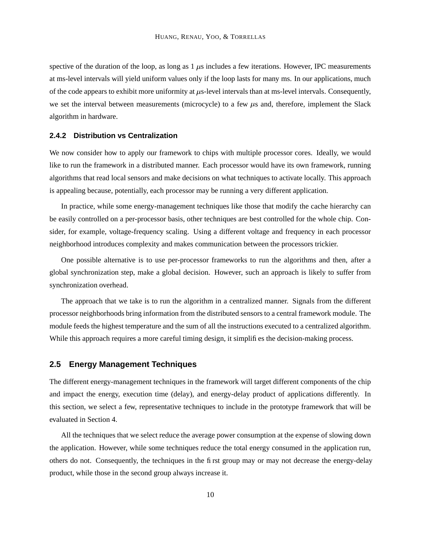spective of the duration of the loop, as long as  $1 \mu s$  includes a few iterations. However, IPC measurements at ms-level intervals will yield uniform values only if the loop lasts for many ms. In our applications, much of the code appears to exhibit more uniformity at  $\mu$ s-level intervals than at ms-level intervals. Consequently, we set the interval between measurements (microcycle) to a few  $\mu$ s and, therefore, implement the Slack algorithm in hardware.

## **2.4.2 Distribution vs Centralization**

We now consider how to apply our framework to chips with multiple processor cores. Ideally, we would like to run the framework in a distributed manner. Each processor would have its own framework, running algorithms that read local sensors and make decisions on what techniques to activate locally. This approach is appealing because, potentially, each processor may be running a very different application.

In practice, while some energy-management techniques like those that modify the cache hierarchy can be easily controlled on a per-processor basis, other techniques are best controlled for the whole chip. Consider, for example, voltage-frequency scaling. Using a different voltage and frequency in each processor neighborhood introduces complexity and makes communication between the processors trickier.

One possible alternative is to use per-processor frameworks to run the algorithms and then, after a global synchronization step, make a global decision. However, such an approach is likely to suffer from synchronization overhead.

The approach that we take is to run the algorithm in a centralized manner. Signals from the different processor neighborhoods bring information from the distributed sensors to a central framework module. The module feeds the highest temperature and the sum of all the instructions executed to a centralized algorithm. While this approach requires a more careful timing design, it simplifies the decision-making process.

### **2.5 Energy Management Techniques**

The different energy-management techniques in the framework will target different components of the chip and impact the energy, execution time (delay), and energy-delay product of applications differently. In this section, we select a few, representative techniques to include in the prototype framework that will be evaluated in Section 4.

All the techniques that we select reduce the average power consumption at the expense of slowing down the application. However, while some techniques reduce the total energy consumed in the application run, others do not. Consequently, the techniques in the first group may or may not decrease the energy-delay product, while those in the second group always increase it.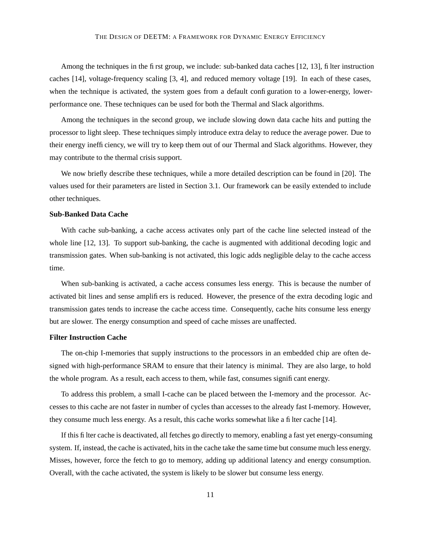Among the techniques in the first group, we include: sub-banked data caches [12, 13], filter instruction caches [14], voltage-frequency scaling [3, 4], and reduced memory voltage [19]. In each of these cases, when the technique is activated, the system goes from a default configuration to a lower-energy, lowerperformance one. These techniques can be used for both the Thermal and Slack algorithms.

Among the techniques in the second group, we include slowing down data cache hits and putting the processor to light sleep. These techniques simply introduce extra delay to reduce the average power. Due to their energy inefficiency, we will try to keep them out of our Thermal and Slack algorithms. However, they may contribute to the thermal crisis support.

We now briefly describe these techniques, while a more detailed description can be found in [20]. The values used for their parameters are listed in Section 3.1. Our framework can be easily extended to include other techniques.

#### **Sub-Banked Data Cache**

With cache sub-banking, a cache access activates only part of the cache line selected instead of the whole line [12, 13]. To support sub-banking, the cache is augmented with additional decoding logic and transmission gates. When sub-banking is not activated, this logic adds negligible delay to the cache access time.

When sub-banking is activated, a cache access consumes less energy. This is because the number of activated bit lines and sense amplifiers is reduced. However, the presence of the extra decoding logic and transmission gates tends to increase the cache access time. Consequently, cache hits consume less energy but are slower. The energy consumption and speed of cache misses are unaffected.

#### **Filter Instruction Cache**

The on-chip I-memories that supply instructions to the processors in an embedded chip are often designed with high-performance SRAM to ensure that their latency is minimal. They are also large, to hold the whole program. As a result, each access to them, while fast, consumes significant energy.

To address this problem, a small I-cache can be placed between the I-memory and the processor. Accesses to this cache are not faster in number of cycles than accesses to the already fast I-memory. However, they consume much less energy. As a result, this cache works somewhat like a filter cache [14].

If this filter cache is deactivated, all fetches go directly to memory, enabling a fast yet energy-consuming system. If, instead, the cache is activated, hits in the cache take the same time but consume much less energy. Misses, however, force the fetch to go to memory, adding up additional latency and energy consumption. Overall, with the cache activated, the system is likely to be slower but consume less energy.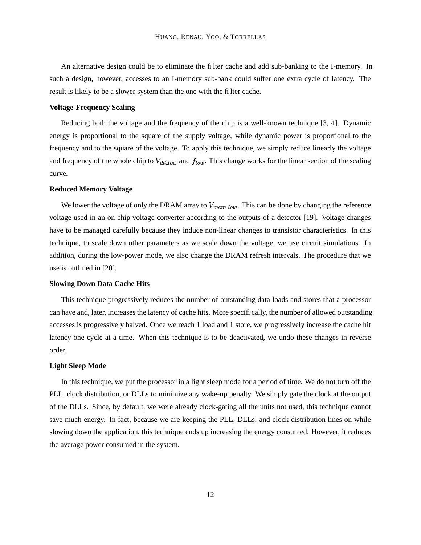An alternative design could be to eliminate the filter cache and add sub-banking to the I-memory. In such a design, however, accesses to an I-memory sub-bank could suffer one extra cycle of latency. The result is likely to be a slower system than the one with the filter cache.

#### **Voltage-Frequency Scaling**

Reducing both the voltage and the frequency of the chip is a well-known technique [3, 4]. Dynamic energy is proportional to the square of the supply voltage, while dynamic power is proportional to the frequency and to the square of the voltage. To apply this technique, we simply reduce linearly the voltage and frequency of the whole chip to  $V_{dd,low}$  and  $f_{low}$ . This change works for the linear section of the scaling curve.

#### **Reduced Memory Voltage**

We lower the voltage of only the DRAM array to  $V_{mem, low}$ . This can be done by changing the reference voltage used in an on-chip voltage converter according to the outputs of a detector [19]. Voltage changes have to be managed carefully because they induce non-linear changes to transistor characteristics. In this technique, to scale down other parameters as we scale down the voltage, we use circuit simulations. In addition, during the low-power mode, we also change the DRAM refresh intervals. The procedure that we use is outlined in [20].

#### **Slowing Down Data Cache Hits**

This technique progressively reduces the number of outstanding data loads and stores that a processor can have and, later, increases the latency of cache hits. More specifically, the number of allowed outstanding accesses is progressively halved. Once we reach 1 load and 1 store, we progressively increase the cache hit latency one cycle at a time. When this technique is to be deactivated, we undo these changes in reverse order.

#### **Light Sleep Mode**

In this technique, we put the processor in a light sleep mode for a period of time. We do not turn off the PLL, clock distribution, or DLLs to minimize any wake-up penalty. We simply gate the clock at the output of the DLLs. Since, by default, we were already clock-gating all the units not used, this technique cannot save much energy. In fact, because we are keeping the PLL, DLLs, and clock distribution lines on while slowing down the application, this technique ends up increasing the energy consumed. However, it reduces the average power consumed in the system.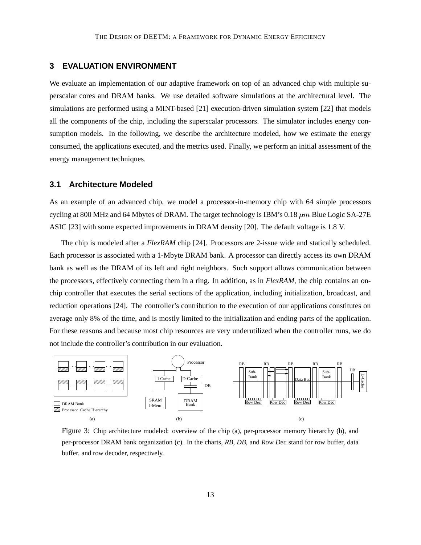### **3 EVALUATION ENVIRONMENT**

We evaluate an implementation of our adaptive framework on top of an advanced chip with multiple superscalar cores and DRAM banks. We use detailed software simulations at the architectural level. The simulations are performed using a MINT-based [21] execution-driven simulation system [22] that models all the components of the chip, including the superscalar processors. The simulator includes energy consumption models. In the following, we describe the architecture modeled, how we estimate the energy consumed, the applications executed, and the metrics used. Finally, we perform an initial assessment of the energy management techniques.

### **3.1 Architecture Modeled**

As an example of an advanced chip, we model a processor-in-memory chip with 64 simple processors cycling at 800 MHz and 64 Mbytes of DRAM. The target technology is IBM's 0.18  $\mu$ m Blue Logic SA-27E ASIC [23] with some expected improvements in DRAM density [20]. The default voltage is 1.8 V.

The chip is modeled after a *FlexRAM* chip [24]. Processors are 2-issue wide and statically scheduled. Each processor is associated with a 1-Mbyte DRAM bank. A processor can directly access its own DRAM bank as well as the DRAM of its left and right neighbors. Such support allows communication between the processors, effectively connecting them in a ring. In addition, as in *FlexRAM*, the chip contains an onchip controller that executes the serial sections of the application, including initialization, broadcast, and reduction operations [24]. The controller's contribution to the execution of our applications constitutes on average only 8% of the time, and is mostly limited to the initialization and ending parts of the application. For these reasons and because most chip resources are very underutilized when the controller runs, we do not include the controller's contribution in our evaluation.



Figure 3: Chip architecture modeled: overview of the chip (a), per-processor memory hierarchy (b), and per-processor DRAM bank organization (c). In the charts, *RB*, *DB*, and *Row Dec* stand for row buffer, data buffer, and row decoder, respectively.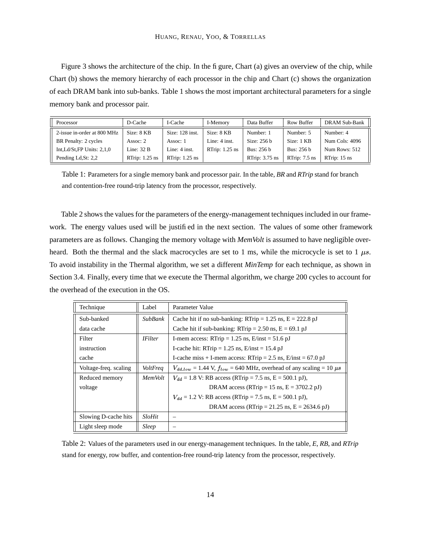Figure 3 shows the architecture of the chip. In the figure, Chart (a) gives an overview of the chip, while Chart (b) shows the memory hierarchy of each processor in the chip and Chart (c) shows the organization of each DRAM bank into sub-banks. Table 1 shows the most important architectural parameters for a single memory bank and processor pair.

| Processor                     | D-Cache          | I-Cache          | I-Memory         | Data Buffer      | Row Buffer      | DRAM Sub-Bank  |
|-------------------------------|------------------|------------------|------------------|------------------|-----------------|----------------|
| 2-issue in-order at 800 MHz   | Size: 8 KB       | Size: 128 inst.  | Size: 8 KB       | Number: 1        | Number: 5       | Number: 4      |
| BR Penalty: 2 cycles          | Assoc: $2$       | Assoc: $1$       | Line: 4 inst.    | Size: 256 b      | Size: 1 KB      | Num Cols: 4096 |
| Int, Ld/St, FP Units: $2,1,0$ | Line: $32 B$     | Line: 4 inst.    | RTrip: $1.25$ ns | Bus: 256 b       | Bus: 256 b      | Num Rows: 512  |
| Pending Ld, St: 2,2           | RTrip: $1.25$ ns | RTrip: $1.25$ ns |                  | RTrip: $3.75$ ns | RTrip: $7.5$ ns | RTrip: 15 ns   |

Table 1: Parameters for a single memory bank and processor pair. In the table, *BR* and *RTrip* stand for branch and contention-free round-trip latency from the processor, respectively.

Table 2 shows the values for the parameters of the energy-management techniques included in our framework. The energy values used will be justified in the next section. The values of some other framework parameters are as follows. Changing the memory voltage with *MemVolt* is assumed to have negligible overheard. Both the thermal and the slack macrocycles are set to 1 ms, while the microcycle is set to 1  $\mu$ s. To avoid instability in the Thermal algorithm, we set a different *MinTemp* for each technique, as shown in Section 3.4. Finally, every time that we execute the Thermal algorithm, we charge 200 cycles to account for the overhead of the execution in the OS.

| Technique             | Label           | Parameter Value                                                                   |
|-----------------------|-----------------|-----------------------------------------------------------------------------------|
| Sub-banked            | <b>SubBank</b>  | Cache hit if no sub-banking: RTrip = $1.25$ ns, E = $222.8$ pJ                    |
| data cache            |                 | Cache hit if sub-banking: $RTrip = 2.50$ ns, $E = 69.1$ pJ                        |
| Filter                | <i>IFilter</i>  | I-mem access: $RTrip = 1.25$ ns, $E/inst = 51.6$ pJ                               |
| instruction           |                 | I-cache hit: RTrip = $1.25$ ns, E/inst = 15.4 pJ                                  |
| cache                 |                 | I-cache miss + I-mem access: RTrip = 2.5 ns, $E/inst = 67.0$ pJ                   |
| Voltage-freq. scaling | <i>VoltFreq</i> | $V_{dd\,low} = 1.44$ V, $f_{low} = 640$ MHz, overhead of any scaling = 10 $\mu s$ |
| Reduced memory        | <b>MemVolt</b>  | $V_{dd} = 1.8$ V: RB access (RTrip = 7.5 ns, E = 500.1 pJ),                       |
| voltage               |                 | DRAM access (RTrip = 15 ns, $E = 3702.2$ pJ)                                      |
|                       |                 | $V_{dd} = 1.2$ V: RB access (RTrip = 7.5 ns, E = 500.1 pJ),                       |
|                       |                 | DRAM access (RTrip = 21.25 ns, $E = 2634.6$ pJ)                                   |
| Slowing D-cache hits  | <b>SloHit</b>   |                                                                                   |
| Light sleep mode      | <b>Sleep</b>    |                                                                                   |

Table 2: Values of the parameters used in our energy-management techniques. In the table, *E*, *RB*, and *RTrip* stand for energy, row buffer, and contention-free round-trip latency from the processor, respectively.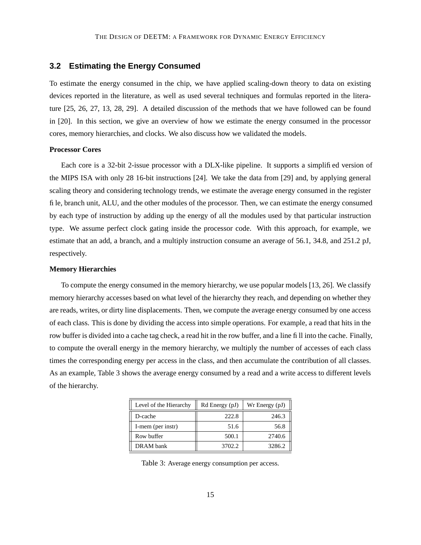### **3.2 Estimating the Energy Consumed**

To estimate the energy consumed in the chip, we have applied scaling-down theory to data on existing devices reported in the literature, as well as used several techniques and formulas reported in the literature [25, 26, 27, 13, 28, 29]. A detailed discussion of the methods that we have followed can be found in [20]. In this section, we give an overview of how we estimate the energy consumed in the processor cores, memory hierarchies, and clocks. We also discuss how we validated the models.

#### **Processor Cores**

Each core is a 32-bit 2-issue processor with a DLX-like pipeline. It supports a simplified version of the MIPS ISA with only 28 16-bit instructions [24]. We take the data from [29] and, by applying general scaling theory and considering technology trends, we estimate the average energy consumed in the register file, branch unit, ALU, and the other modules of the processor. Then, we can estimate the energy consumed by each type of instruction by adding up the energy of all the modules used by that particular instruction type. We assume perfect clock gating inside the processor code. With this approach, for example, we estimate that an add, a branch, and a multiply instruction consume an average of 56.1, 34.8, and 251.2 pJ, respectively.

#### **Memory Hierarchies**

To compute the energy consumed in the memory hierarchy, we use popular models [13, 26]. We classify memory hierarchy accesses based on what level of the hierarchy they reach, and depending on whether they are reads, writes, or dirty line displacements. Then, we compute the average energy consumed by one access of each class. This is done by dividing the access into simple operations. For example, a read that hits in the row buffer is divided into a cache tag check, a read hit in the row buffer, and a line fill into the cache. Finally, to compute the overall energy in the memory hierarchy, we multiply the number of accesses of each class times the corresponding energy per access in the class, and then accumulate the contribution of all classes. As an example, Table 3 shows the average energy consumed by a read and a write access to different levels of the hierarchy.

| Level of the Hierarchy | Rd Energy (pJ) | Wr Energy (pJ) |
|------------------------|----------------|----------------|
| D-cache                | 222.8          | 246.3          |
| I-mem (per instr)      | 51.6           | 56.8           |
| Row buffer             | 500.1          | 2740.6         |
| DRAM bank              | 3702.2         | 3286.2         |

Table 3: Average energy consumption per access.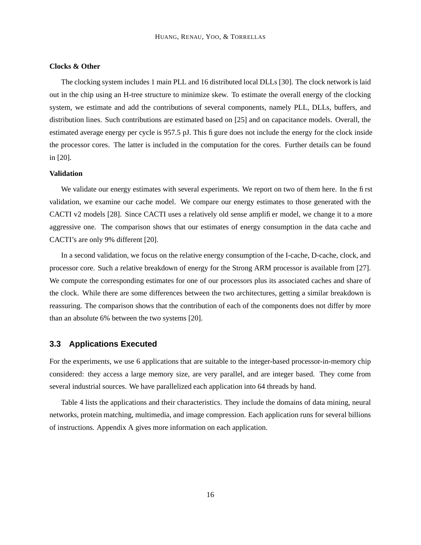#### **Clocks & Other**

The clocking system includes 1 main PLL and 16 distributed local DLLs [30]. The clock network is laid out in the chip using an H-tree structure to minimize skew. To estimate the overall energy of the clocking system, we estimate and add the contributions of several components, namely PLL, DLLs, buffers, and distribution lines. Such contributions are estimated based on [25] and on capacitance models. Overall, the estimated average energy per cycle is 957.5 pJ. This figure does not include the energy for the clock inside the processor cores. The latter is included in the computation for the cores. Further details can be found in [20].

#### **Validation**

We validate our energy estimates with several experiments. We report on two of them here. In the first validation, we examine our cache model. We compare our energy estimates to those generated with the CACTI v2 models [28]. Since CACTI uses a relatively old sense amplifier model, we change it to a more aggressive one. The comparison shows that our estimates of energy consumption in the data cache and CACTI's are only 9% different [20].

In a second validation, we focus on the relative energy consumption of the I-cache, D-cache, clock, and processor core. Such a relative breakdown of energy for the Strong ARM processor is available from [27]. We compute the corresponding estimates for one of our processors plus its associated caches and share of the clock. While there are some differences between the two architectures, getting a similar breakdown is reassuring. The comparison shows that the contribution of each of the components does not differ by more than an absolute 6% between the two systems [20].

## **3.3 Applications Executed**

For the experiments, we use 6 applications that are suitable to the integer-based processor-in-memory chip considered: they access a large memory size, are very parallel, and are integer based. They come from several industrial sources. We have parallelized each application into 64 threads by hand.

Table 4 lists the applications and their characteristics. They include the domains of data mining, neural networks, protein matching, multimedia, and image compression. Each application runs for several billions of instructions. Appendix A gives more information on each application.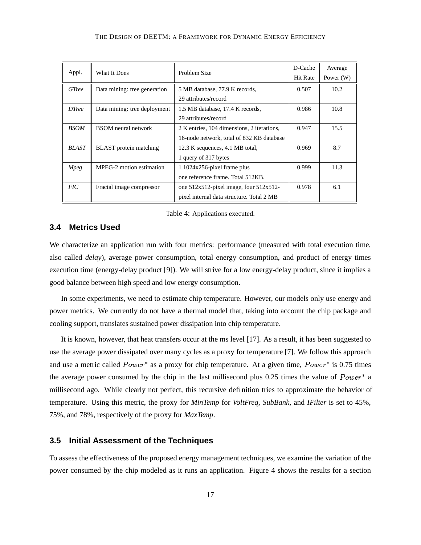| Appl.        | <b>What It Does</b>           | Problem Size                                 | D-Cache         | Average     |
|--------------|-------------------------------|----------------------------------------------|-----------------|-------------|
|              |                               |                                              | <b>Hit Rate</b> | Power $(W)$ |
| <b>GTree</b> | Data mining: tree generation  | 5 MB database, 77.9 K records,               | 0.507           | 10.2        |
|              |                               | 29 attributes/record                         |                 |             |
| <b>DTree</b> | Data mining: tree deployment  | 1.5 MB database, 17.4 K records,             |                 | 10.8        |
|              |                               | 29 attributes/record                         |                 |             |
| <b>BSOM</b>  | <b>BSOM</b> neural network    | 2 K entries, 104 dimensions, 2 iterations,   | 0.947           | 15.5        |
|              |                               | 16-node network, total of 832 KB database    |                 |             |
| <b>BLAST</b> | <b>BLAST</b> protein matching | 12.3 K sequences, 4.1 MB total,              | 0.969           | 8.7         |
|              |                               | 1 query of 317 bytes                         |                 |             |
| Mpeg         | MPEG-2 motion estimation      | $11024x256$ -pixel frame plus                | 0.999           | 11.3        |
|              |                               | one reference frame. Total 512KB.            |                 |             |
| FIC          | Fractal image compressor      | one $512x512$ -pixel image, four $512x512$ - | 0.978           | 6.1         |
|              |                               | pixel internal data structure. Total 2 MB    |                 |             |

Table 4: Applications executed.

# **3.4 Metrics Used**

We characterize an application run with four metrics: performance (measured with total execution time, also called *delay*), average power consumption, total energy consumption, and product of energy times execution time (energy-delay product [9]). We will strive for a low energy-delay product, since it implies a good balance between high speed and low energy consumption.

In some experiments, we need to estimate chip temperature. However, our models only use energy and power metrics. We currently do not have a thermal model that, taking into account the chip package and cooling support, translates sustained power dissipation into chip temperature.

It is known, however, that heat transfers occur at the ms level [17]. As a result, it has been suggested to use the average power dissipated over many cycles as a proxy for temperature [7]. We follow this approach and use a metric called  $Power^*$  as a proxy for chip temperature. At a given time,  $Power^*$  is 0.75 times the average power consumed by the chip in the last millisecond plus  $0.25$  times the value of  $Power^*$  a millisecond ago. While clearly not perfect, this recursive definition tries to approximate the behavior of temperature. Using this metric, the proxy for *MinTemp* for *VoltFreq*, *SubBank*, and *IFilter* is set to 45%, 75%, and 78%, respectively of the proxy for *MaxTemp*.

# **3.5 Initial Assessment of the Techniques**

To assess the effectiveness of the proposed energy management techniques, we examine the variation of the power consumed by the chip modeled as it runs an application. Figure 4 shows the results for a section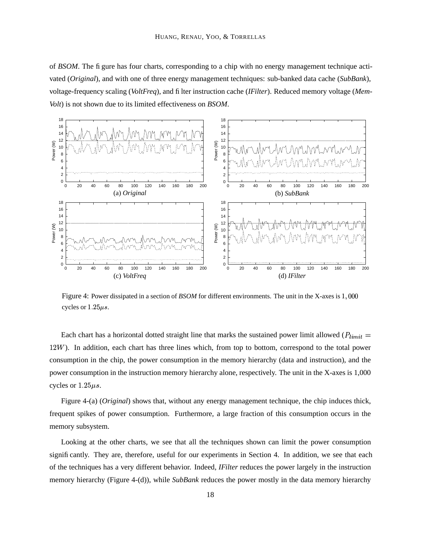of *BSOM*. The figure has four charts, corresponding to a chip with no energy management technique activated (*Original*), and with one of three energy management techniques: sub-banked data cache (*SubBank*), voltage-frequency scaling (*VoltFreq*), and filter instruction cache (*IFilter*). Reduced memory voltage (*Mem-Volt*) is not shown due to its limited effectiveness on *BSOM*.



Figure 4: Power dissipated in a section of *BSOM* for different environments. The unit in the X-axes is 1,000 cycles or  $1.25 \mu s$ .

Each chart has a horizontal dotted straight line that marks the sustained power limit allowed ( $P_{limit}$ )  $12W$ ). In addition, each chart has three lines which, from top to bottom, correspond to the total power consumption in the chip, the power consumption in the memory hierarchy (data and instruction), and the power consumption in the instruction memory hierarchy alone, respectively. The unit in the X-axes is 1,000 cycles or  $1.25\mu s$ .

Figure 4-(a) (*Original*) shows that, without any energy management technique, the chip induces thick, frequent spikes of power consumption. Furthermore, a large fraction of this consumption occurs in the memory subsystem.

Looking at the other charts, we see that all the techniques shown can limit the power consumption significantly. They are, therefore, useful for our experiments in Section 4. In addition, we see that each of the techniques has a very different behavior. Indeed, *IFilter* reduces the power largely in the instruction memory hierarchy (Figure 4-(d)), while *SubBank* reduces the power mostly in the data memory hierarchy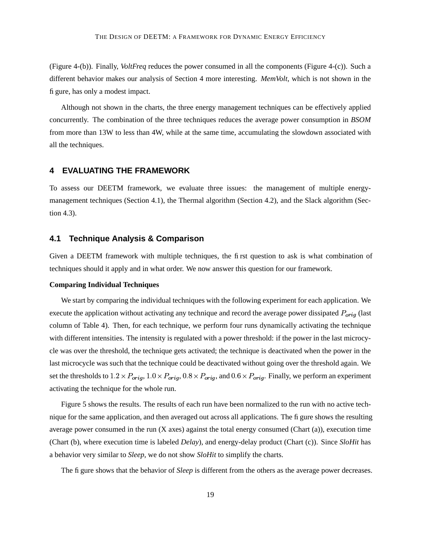(Figure 4-(b)). Finally, *VoltFreq* reduces the power consumed in all the components (Figure 4-(c)). Such a different behavior makes our analysis of Section 4 more interesting. *MemVolt*, which is not shown in the figure, has only a modest impact.

Although not shown in the charts, the three energy management techniques can be effectively applied concurrently. The combination of the three techniques reduces the average power consumption in *BSOM* from more than 13W to less than 4W, while at the same time, accumulating the slowdown associated with all the techniques.

# **4 EVALUATING THE FRAMEWORK**

To assess our DEETM framework, we evaluate three issues: the management of multiple energymanagement techniques (Section 4.1), the Thermal algorithm (Section 4.2), and the Slack algorithm (Section 4.3).

# **4.1 Technique Analysis & Comparison**

Given a DEETM framework with multiple techniques, the first question to ask is what combination of techniques should it apply and in what order. We now answer this question for our framework.

## **Comparing Individual Techniques**

We start by comparing the individual techniques with the following experiment for each application. We execute the application without activating any technique and record the average power dissipated  $P_{orig}$  (last column of Table 4). Then, for each technique, we perform four runs dynamically activating the technique with different intensities. The intensity is regulated with a power threshold: if the power in the last microcycle was over the threshold, the technique gets activated; the technique is deactivated when the power in the last microcycle was such that the technique could be deactivated without going over the threshold again. We set the thresholds to  $1.2 \times P_{orig}$ ,  $1.0 \times P_{orig}$ ,  $0.8 \times P_{orig}$ , and  $0.6 \times P_{orig}$ . Finally, we perform an experiment activating the technique for the whole run.

Figure 5 shows the results. The results of each run have been normalized to the run with no active technique for the same application, and then averaged out across all applications. The figure shows the resulting average power consumed in the run (X axes) against the total energy consumed (Chart (a)), execution time (Chart (b), where execution time is labeled *Delay*), and energy-delay product (Chart (c)). Since *SloHit* has a behavior very similar to *Sleep*, we do not show *SloHit* to simplify the charts.

The figure shows that the behavior of *Sleep* is different from the others as the average power decreases.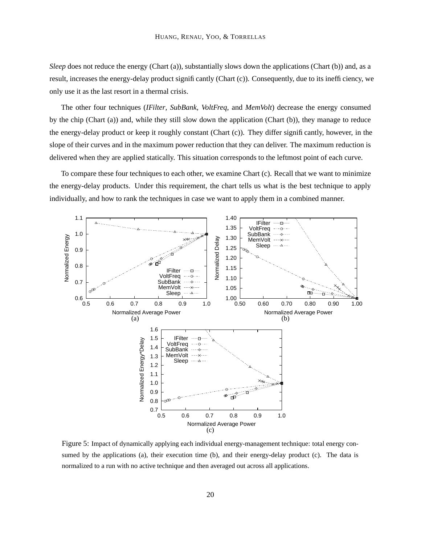*Sleep* does not reduce the energy (Chart (a)), substantially slows down the applications (Chart (b)) and, as a result, increases the energy-delay product significantly (Chart (c)). Consequently, due to its inefficiency, we only use it as the last resort in a thermal crisis.

The other four techniques (*IFilter*, *SubBank*, *VoltFreq*, and *MemVolt*) decrease the energy consumed by the chip (Chart (a)) and, while they still slow down the application (Chart (b)), they manage to reduce the energy-delay product or keep it roughly constant (Chart (c)). They differ significantly, however, in the slope of their curves and in the maximum power reduction that they can deliver. The maximum reduction is delivered when they are applied statically. This situation corresponds to the leftmost point of each curve.

To compare these four techniques to each other, we examine Chart (c). Recall that we want to minimize the energy-delay products. Under this requirement, the chart tells us what is the best technique to apply individually, and how to rank the techniques in case we want to apply them in a combined manner.



Figure 5: Impact of dynamically applying each individual energy-management technique: total energy consumed by the applications (a), their execution time (b), and their energy-delay product (c). The data is normalized to a run with no active technique and then averaged out across all applications.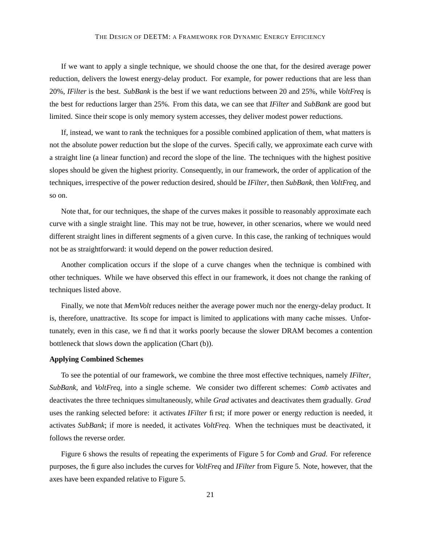#### THE DESIGN OF DEETM: A FRAMEWORK FOR DYNAMIC ENERGY EFFICIENCY

If we want to apply a single technique, we should choose the one that, for the desired average power reduction, delivers the lowest energy-delay product. For example, for power reductions that are less than 20%, *IFilter* is the best. *SubBank* is the best if we want reductions between 20 and 25%, while *VoltFreq* is the best for reductions larger than 25%. From this data, we can see that *IFilter* and *SubBank* are good but limited. Since their scope is only memory system accesses, they deliver modest power reductions.

If, instead, we want to rank the techniques for a possible combined application of them, what matters is not the absolute power reduction but the slope of the curves. Specifically, we approximate each curve with a straight line (a linear function) and record the slope of the line. The techniques with the highest positive slopes should be given the highest priority. Consequently, in our framework, the order of application of the techniques, irrespective of the power reduction desired, should be *IFilter*, then *SubBank*, then *VoltFreq*, and so on.

Note that, for our techniques, the shape of the curves makes it possible to reasonably approximate each curve with a single straight line. This may not be true, however, in other scenarios, where we would need different straight lines in different segments of a given curve. In this case, the ranking of techniques would not be as straightforward: it would depend on the power reduction desired.

Another complication occurs if the slope of a curve changes when the technique is combined with other techniques. While we have observed this effect in our framework, it does not change the ranking of techniques listed above.

Finally, we note that *MemVolt* reduces neither the average power much nor the energy-delay product. It is, therefore, unattractive. Its scope for impact is limited to applications with many cache misses. Unfortunately, even in this case, we find that it works poorly because the slower DRAM becomes a contention bottleneck that slows down the application (Chart (b)).

#### **Applying Combined Schemes**

To see the potential of our framework, we combine the three most effective techniques, namely *IFilter*, *SubBank*, and *VoltFreq*, into a single scheme. We consider two different schemes: *Comb* activates and deactivates the three techniques simultaneously, while *Grad* activates and deactivates them gradually. *Grad* uses the ranking selected before: it activates *IFilter* first; if more power or energy reduction is needed, it activates *SubBank*; if more is needed, it activates *VoltFreq*. When the techniques must be deactivated, it follows the reverse order.

Figure 6 shows the results of repeating the experiments of Figure 5 for *Comb* and *Grad*. For reference purposes, the figure also includes the curves for *VoltFreq* and *IFilter* from Figure 5. Note, however, that the axes have been expanded relative to Figure 5.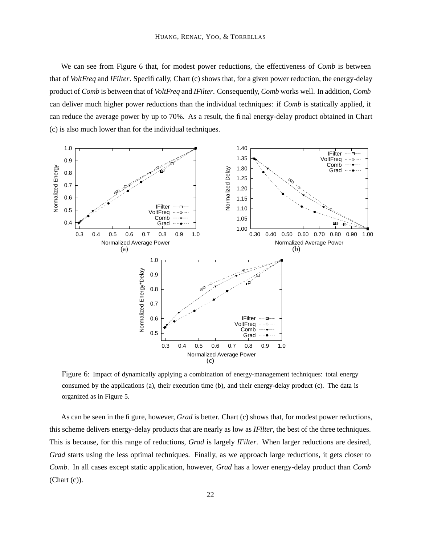We can see from Figure 6 that, for modest power reductions, the effectiveness of *Comb* is between that of *VoltFreq* and *IFilter*. Specifically, Chart (c) shows that, for a given power reduction, the energy-delay product of *Comb* is between that of *VoltFreq* and *IFilter*. Consequently, *Comb* works well. In addition, *Comb* can deliver much higher power reductions than the individual techniques: if *Comb* is statically applied, it can reduce the average power by up to 70%. As a result, the final energy-delay product obtained in Chart (c) is also much lower than for the individual techniques.



Figure 6: Impact of dynamically applying a combination of energy-management techniques: total energy consumed by the applications (a), their execution time (b), and their energy-delay product (c). The data is organized as in Figure 5.

As can be seen in the figure, however, *Grad* is better. Chart (c) shows that, for modest power reductions, this scheme delivers energy-delay products that are nearly as low as *IFilter*, the best of the three techniques. This is because, for this range of reductions, *Grad* is largely *IFilter*. When larger reductions are desired, *Grad* starts using the less optimal techniques. Finally, as we approach large reductions, it gets closer to *Comb*. In all cases except static application, however, *Grad* has a lower energy-delay product than *Comb* (Chart (c)).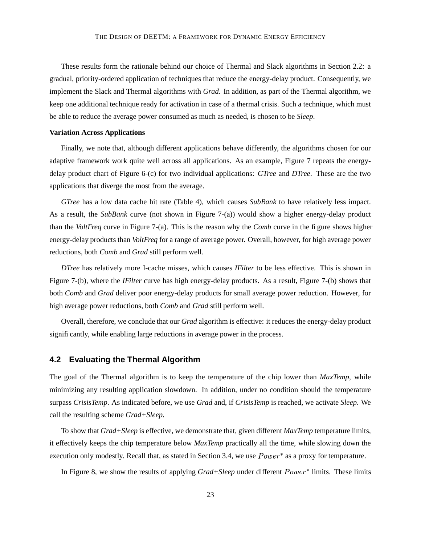These results form the rationale behind our choice of Thermal and Slack algorithms in Section 2.2: a gradual, priority-ordered application of techniques that reduce the energy-delay product. Consequently, we implement the Slack and Thermal algorithms with *Grad*. In addition, as part of the Thermal algorithm, we keep one additional technique ready for activation in case of a thermal crisis. Such a technique, which must be able to reduce the average power consumed as much as needed, is chosen to be *Sleep*.

#### **Variation Across Applications**

Finally, we note that, although different applications behave differently, the algorithms chosen for our adaptive framework work quite well across all applications. As an example, Figure 7 repeats the energydelay product chart of Figure 6-(c) for two individual applications: *GTree* and *DTree*. These are the two applications that diverge the most from the average.

*GTree* has a low data cache hit rate (Table 4), which causes *SubBank* to have relatively less impact. As a result, the *SubBank* curve (not shown in Figure 7-(a)) would show a higher energy-delay product than the *VoltFreq* curve in Figure 7-(a). This is the reason why the *Comb* curve in the figure shows higher energy-delay products than *VoltFreq* for a range of average power. Overall, however, for high average power reductions, both *Comb* and *Grad* still perform well.

*DTree* has relatively more I-cache misses, which causes *IFilter* to be less effective. This is shown in Figure 7-(b), where the *IFilter* curve has high energy-delay products. As a result, Figure 7-(b) shows that both *Comb* and *Grad* deliver poor energy-delay products for small average power reduction. However, for high average power reductions, both *Comb* and *Grad* still perform well.

Overall, therefore, we conclude that our *Grad* algorithm is effective: it reduces the energy-delay product significantly, while enabling large reductions in average power in the process.

# **4.2 Evaluating the Thermal Algorithm**

The goal of the Thermal algorithm is to keep the temperature of the chip lower than *MaxTemp*, while minimizing any resulting application slowdown. In addition, under no condition should the temperature surpass *CrisisTemp*. As indicated before, we use *Grad* and, if *CrisisTemp* is reached, we activate *Sleep*. We call the resulting scheme *Grad+Sleep*.

To show that *Grad+Sleep* is effective, we demonstrate that, given different *MaxTemp* temperature limits, it effectively keeps the chip temperature below *MaxTemp* practically all the time, while slowing down the execution only modestly. Recall that, as stated in Section 3.4, we use  $Power^*$  as a proxy for temperature.

In Figure 8, we show the results of applying *Grad+Sleep* under different  $Power^*$  limits. These limits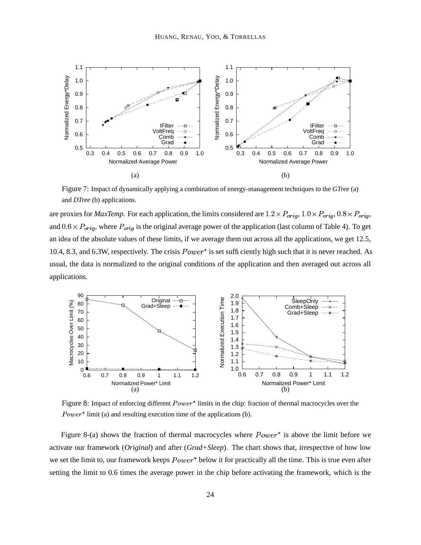

Figure 7: Impact of dynamically applying a combination of energy-management techniques to the *GTree* (a) and *DTree* (b) applications.

are proxies for *MaxTemp*. For each application, the limits considered are  $1.2 \times P_{orig}$ ,  $1.0 \times P_{orig}$ ,  $0.8 \times P_{orig}$ , and  $0.6 \times P_{orig}$ , where  $P_{orig}$  is the original average power of the application (last column of Table 4). To get an idea of the absolute values of these limits, if we average them out across all the applications, we get 12.5, 10.4, 8.3, and 6.3W, respectively. The crisis  $Power^*$  is set sufficiently high such that it is never reached. As usual, the data is normalized to the original conditions of the application and then averaged out across all applications.



Figure 8: Impact of enforcing different  $Power^*$  limits in the chip: fraction of thermal macrocycles over the  $Power^*$  limit (a) and resulting execution time of the applications (b).

Figure 8-(a) shows the fraction of thermal macrocycles where  $Power^*$  is above the limit before we activate our framework (*Original*) and after (*Grad+Sleep*). The chart shows that, irrespective of how low we set the limit to, our framework keeps  $Power^*$  below it for practically all the time. This is true even after setting the limit to 0.6 times the average power in the chip before activating the framework, which is the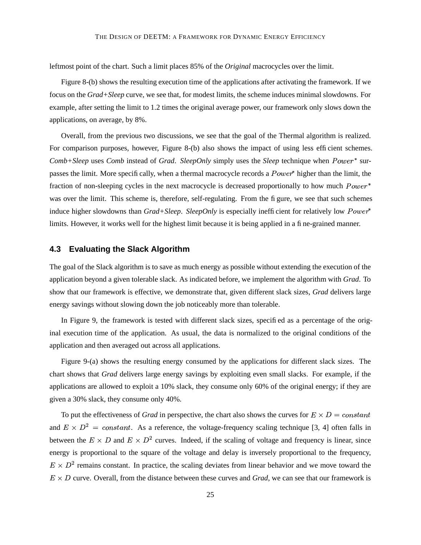leftmost point of the chart. Such a limit places 85% of the *Original* macrocycles over the limit.

Figure 8-(b) shows the resulting execution time of the applications after activating the framework. If we focus on the *Grad+Sleep* curve, we see that, for modest limits, the scheme induces minimal slowdowns. For example, after setting the limit to 1.2 times the original average power, our framework only slows down the applications, on average, by 8%.

Overall, from the previous two discussions, we see that the goal of the Thermal algorithm is realized. For comparison purposes, however, Figure 8-(b) also shows the impact of using less efficient schemes. *Comb+Sleep* uses *Comb* instead of *Grad. SleepOnly* simply uses the *Sleep* technique when *Power*<sup>\*</sup> surpasses the limit. More specifically, when a thermal macrocycle records a  $Power^*$  higher than the limit, the fraction of non-sleeping cycles in the next macrocycle is decreased proportionally to how much  $Power^*$ was over the limit. This scheme is, therefore, self-regulating. From the figure, we see that such schemes induce higher slowdowns than *Grad+Sleep. SleepOnly* is especially inefficient for relatively low  $Power^*$ limits. However, it works well for the highest limit because it is being applied in a fine-grained manner.

# **4.3 Evaluating the Slack Algorithm**

The goal of the Slack algorithm is to save as much energy as possible without extending the execution of the application beyond a given tolerable slack. As indicated before, we implement the algorithm with *Grad*. To show that our framework is effective, we demonstrate that, given different slack sizes, *Grad* delivers large energy savings without slowing down the job noticeably more than tolerable.

In Figure 9, the framework is tested with different slack sizes, specified as a percentage of the original execution time of the application. As usual, the data is normalized to the original conditions of the application and then averaged out across all applications.

Figure 9-(a) shows the resulting energy consumed by the applications for different slack sizes. The chart shows that *Grad* delivers large energy savings by exploiting even small slacks. For example, if the applications are allowed to exploit a 10% slack, they consume only 60% of the original energy; if they are given a 30% slack, they consume only 40%.

To put the effectiveness of *Grad* in perspective, the chart also shows the curves for  $E \times D = constant$ and  $E \times D^2 = constant$ . As a reference, the voltage-frequency scaling technique [3, 4] often falls in between the  $E \times D$  and  $E \times D^2$  curves. Indeed, if the scaling of voltage and frequency is linear, since energy is proportional to the square of the voltage and delay is inversely proportional to the frequency,  $E \times D^2$  remains constant. In practice, the scaling deviates from linear behavior and we move toward the  $E \times D$  curve. Overall, from the distance between these curves and *Grad*, we can see that our framework is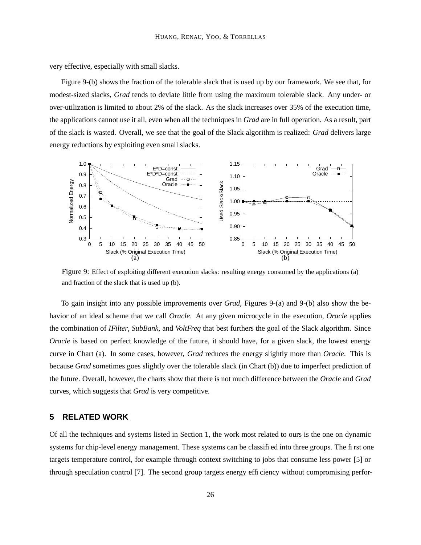very effective, especially with small slacks.

Figure 9-(b) shows the fraction of the tolerable slack that is used up by our framework. We see that, for modest-sized slacks, *Grad* tends to deviate little from using the maximum tolerable slack. Any under- or over-utilization is limited to about 2% of the slack. As the slack increases over 35% of the execution time, the applications cannot use it all, even when all the techniques in *Grad* are in full operation. As a result, part of the slack is wasted. Overall, we see that the goal of the Slack algorithm is realized: *Grad* delivers large energy reductions by exploiting even small slacks.



Figure 9: Effect of exploiting different execution slacks: resulting energy consumed by the applications (a) and fraction of the slack that is used up (b).

To gain insight into any possible improvements over *Grad*, Figures 9-(a) and 9-(b) also show the behavior of an ideal scheme that we call *Oracle*. At any given microcycle in the execution, *Oracle* applies the combination of *IFilter*, *SubBank*, and *VoltFreq* that best furthers the goal of the Slack algorithm. Since *Oracle* is based on perfect knowledge of the future, it should have, for a given slack, the lowest energy curve in Chart (a). In some cases, however, *Grad* reduces the energy slightly more than *Oracle*. This is because *Grad* sometimes goes slightly over the tolerable slack (in Chart (b)) due to imperfect prediction of the future. Overall, however, the charts show that there is not much difference between the *Oracle* and *Grad* curves, which suggests that *Grad* is very competitive.

# **5 RELATED WORK**

Of all the techniques and systems listed in Section 1, the work most related to ours is the one on dynamic systems for chip-level energy management. These systems can be classified into three groups. The first one targets temperature control, for example through context switching to jobs that consume less power [5] or through speculation control [7]. The second group targets energy efficiency without compromising perfor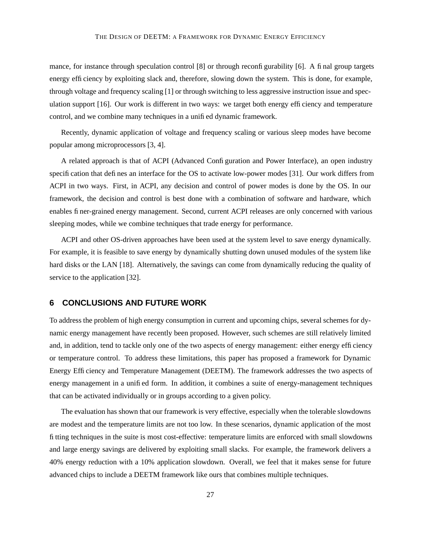mance, for instance through speculation control [8] or through reconfigurability [6]. A final group targets energy efficiency by exploiting slack and, therefore, slowing down the system. This is done, for example, through voltage and frequency scaling [1] or through switching to less aggressive instruction issue and speculation support [16]. Our work is different in two ways: we target both energy efficiency and temperature control, and we combine many techniques in a unified dynamic framework.

Recently, dynamic application of voltage and frequency scaling or various sleep modes have become popular among microprocessors [3, 4].

A related approach is that of ACPI (Advanced Configuration and Power Interface), an open industry specification that defines an interface for the OS to activate low-power modes [31]. Our work differs from ACPI in two ways. First, in ACPI, any decision and control of power modes is done by the OS. In our framework, the decision and control is best done with a combination of software and hardware, which enables finer-grained energy management. Second, current ACPI releases are only concerned with various sleeping modes, while we combine techniques that trade energy for performance.

ACPI and other OS-driven approaches have been used at the system level to save energy dynamically. For example, it is feasible to save energy by dynamically shutting down unused modules of the system like hard disks or the LAN [18]. Alternatively, the savings can come from dynamically reducing the quality of service to the application [32].

# **6 CONCLUSIONS AND FUTURE WORK**

To address the problem of high energy consumption in current and upcoming chips, several schemes for dynamic energy management have recently been proposed. However, such schemes are still relatively limited and, in addition, tend to tackle only one of the two aspects of energy management: either energy efficiency or temperature control. To address these limitations, this paper has proposed a framework for Dynamic Energy Efficiency and Temperature Management (DEETM). The framework addresses the two aspects of energy management in a unified form. In addition, it combines a suite of energy-management techniques that can be activated individually or in groups according to a given policy.

The evaluation has shown that our framework is very effective, especially when the tolerable slowdowns are modest and the temperature limits are not too low. In these scenarios, dynamic application of the most fitting techniques in the suite is most cost-effective: temperature limits are enforced with small slowdowns and large energy savings are delivered by exploiting small slacks. For example, the framework delivers a 40% energy reduction with a 10% application slowdown. Overall, we feel that it makes sense for future advanced chips to include a DEETM framework like ours that combines multiple techniques.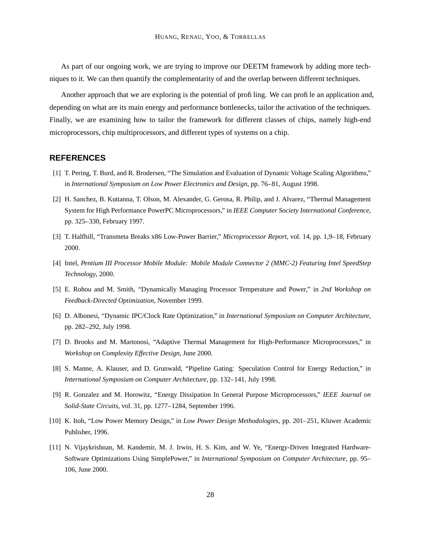As part of our ongoing work, we are trying to improve our DEETM framework by adding more techniques to it. We can then quantify the complementarity of and the overlap between different techniques.

Another approach that we are exploring is the potential of profiling. We can profile an application and, depending on what are its main energy and performance bottlenecks, tailor the activation of the techniques. Finally, we are examining how to tailor the framework for different classes of chips, namely high-end microprocessors, chip multiprocessors, and different types of systems on a chip.

# **REFERENCES**

- [1] T. Pering, T. Burd, and R. Brodersen, "The Simulation and Evaluation of Dynamic Voltage Scaling Algorithms," in *International Symposium on Low Power Electronics and Design*, pp. 76–81, August 1998.
- [2] H. Sanchez, B. Kuttanna, T. Olson, M. Alexander, G. Gerosa, R. Philip, and J. Alvarez, "Thermal Management System for High Performance PowerPC Microprocessors," in *IEEE Computer Society International Conference*, pp. 325–330, February 1997.
- [3] T. Halfhill, "Transmeta Breaks x86 Low-Power Barrier," *Microprocessor Report*, vol. 14, pp. 1,9–18, February 2000.
- [4] Intel, *Pentium III Processor Mobile Module: Mobile Module Connector 2 (MMC-2) Featuring Intel SpeedStep Technology*, 2000.
- [5] E. Rohou and M. Smith, "Dynamically Managing Processor Temperature and Power," in *2nd Workshop on Feedback-Directed Optimization*, November 1999.
- [6] D. Albonesi, "Dynamic IPC/Clock Rate Optimization," in *International Symposium on Computer Architecture*, pp. 282–292, July 1998.
- [7] D. Brooks and M. Martonosi, "Adaptive Thermal Management for High-Performance Microprocessors," in *Workshop on Complexity Effective Design*, June 2000.
- [8] S. Manne, A. Klauser, and D. Grunwald, "Pipeline Gating: Speculation Control for Energy Reduction," in *International Symposium on Computer Architecture*, pp. 132–141, July 1998.
- [9] R. Gonzalez and M. Horowitz, "Energy Dissipation In General Purpose Microprocessors," *IEEE Journal on Solid-State Circuits*, vol. 31, pp. 1277–1284, September 1996.
- [10] K. Itoh, "Low Power Memory Design," in *Low Power Design Methodologies*, pp. 201–251, Kluwer Academic Publisher, 1996.
- [11] N. Vijaykrishnan, M. Kandemir, M. J. Irwin, H. S. Kim, and W. Ye, "Energy-Driven Integrated Hardware-Software Optimizations Using SimplePower," in *International Symposium on Computer Architecture*, pp. 95– 106, June 2000.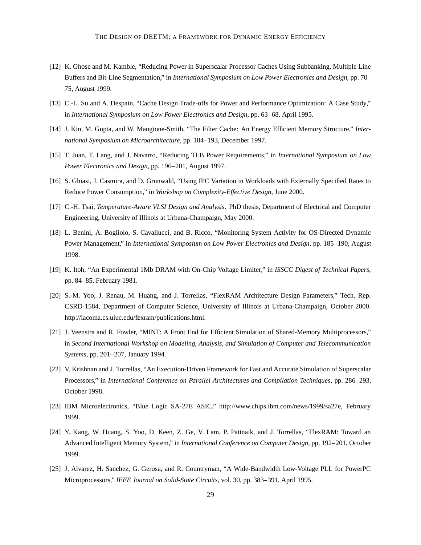- [12] K. Ghose and M. Kamble, "Reducing Power in Superscalar Processor Caches Using Subbanking, Multiple Line Buffers and Bit-Line Segmentation," in *International Symposium on Low Power Electronics and Design*, pp. 70– 75, August 1999.
- [13] C.-L. Su and A. Despain, "Cache Design Trade-offs for Power and Performance Optimization: A Case Study," in *International Symposium on Low Power Electronics and Design*, pp. 63–68, April 1995.
- [14] J. Kin, M. Gupta, and W. Mangione-Smith, "The Filter Cache: An Energy Efficient Memory Structure," *International Symposium on Microarchitecture*, pp. 184–193, December 1997.
- [15] T. Juan, T. Lang, and J. Navarro, "Reducing TLB Power Requirements," in *International Symposium on Low Power Electronics and Design*, pp. 196–201, August 1997.
- [16] S. Ghiasi, J. Casmira, and D. Grunwald, "Using IPC Variation in Workloads with Externally Specified Rates to Reduce Power Consumption," in *Workshop on Complexity-Effective Design*, June 2000.
- [17] C.-H. Tsai, *Temperature-Aware VLSI Design and Analysis*. PhD thesis, Department of Electrical and Computer Engineering, University of Illinois at Urbana-Champaign, May 2000.
- [18] L. Benini, A. Bogliolo, S. Cavallucci, and B. Ricco, "Monitoring System Activity for OS-Directed Dynamic Power Management," in *International Symposium on Low Power Electronics and Design*, pp. 185–190, August 1998.
- [19] K. Itoh, "An Experimental 1Mb DRAM with On-Chip Voltage Limiter," in *ISSCC Digest of Technical Papers*, pp. 84–85, February 1981.
- [20] S.-M. Yoo, J. Renau, M. Huang, and J. Torrellas, "FlexRAM Architecture Design Parameters," Tech. Rep. CSRD-1584, Department of Computer Science, University of Illinois at Urbana-Champaign, October 2000. http://iacoma.cs.uiuc.edu/fexram/publications.html.
- [21] J. Veenstra and R. Fowler, "MINT: A Front End for Efficient Simulation of Shared-Memory Multiprocessors," in *Second International Workshop on Modeling, Analysis, and Simulation of Computer and Telecommunication Systems*, pp. 201–207, January 1994.
- [22] V. Krishnan and J. Torrellas, "An Execution-Driven Framework for Fast and Accurate Simulation of Superscalar Processors," in *International Conference on Parallel Architectures and Compilation Techniques*, pp. 286–293, October 1998.
- [23] IBM Microelectronics, "Blue Logic SA-27E ASIC." http://www.chips.ibm.com/news/1999/sa27e, February 1999.
- [24] Y. Kang, W. Huang, S. Yoo, D. Keen, Z. Ge, V. Lam, P. Pattnaik, and J. Torrellas, "FlexRAM: Toward an Advanced Intelligent Memory System," in *International Conference on Computer Design*, pp. 192–201, October 1999.
- [25] J. Alvarez, H. Sanchez, G. Gerosa, and R. Countryman, "A Wide-Bandwidth Low-Voltage PLL for PowerPC Microprocessors," *IEEE Journal on Solid-State Circuits*, vol. 30, pp. 383–391, April 1995.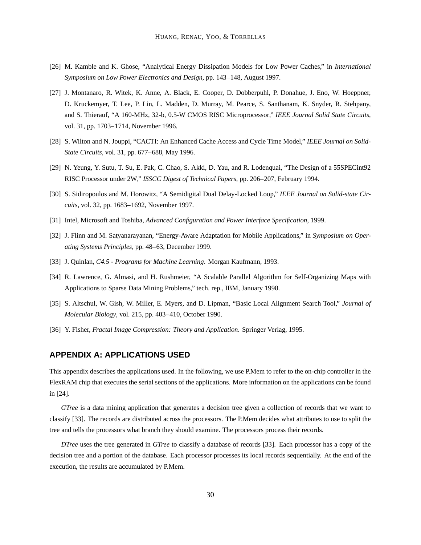- [26] M. Kamble and K. Ghose, "Analytical Energy Dissipation Models for Low Power Caches," in *International Symposium on Low Power Electronics and Design*, pp. 143–148, August 1997.
- [27] J. Montanaro, R. Witek, K. Anne, A. Black, E. Cooper, D. Dobberpuhl, P. Donahue, J. Eno, W. Hoeppner, D. Kruckemyer, T. Lee, P. Lin, L. Madden, D. Murray, M. Pearce, S. Santhanam, K. Snyder, R. Stehpany, and S. Thierauf, "A 160-MHz, 32-b, 0.5-W CMOS RISC Microprocessor," *IEEE Journal Solid State Circuits*, vol. 31, pp. 1703–1714, November 1996.
- [28] S. Wilton and N. Jouppi, "CACTI: An Enhanced Cache Access and Cycle Time Model," *IEEE Journal on Solid-State Circuits*, vol. 31, pp. 677–688, May 1996.
- [29] N. Yeung, Y. Sutu, T. Su, E. Pak, C. Chao, S. Akki, D. Yau, and R. Lodenquai, "The Design of a 55SPECint92 RISC Processor under 2W," *ISSCC Digest of Technical Papers*, pp. 206–207, February 1994.
- [30] S. Sidiropoulos and M. Horowitz, "A Semidigital Dual Delay-Locked Loop," *IEEE Journal on Solid-state Circuits*, vol. 32, pp. 1683–1692, November 1997.
- [31] Intel, Microsoft and Toshiba, *Advanced Configuration and Power Interface Specification*, 1999.
- [32] J. Flinn and M. Satyanarayanan, "Energy-Aware Adaptation for Mobile Applications," in *Symposium on Operating Systems Principles*, pp. 48–63, December 1999.
- [33] J. Quinlan, *C4.5 - Programs for Machine Learning*. Morgan Kaufmann, 1993.
- [34] R. Lawrence, G. Almasi, and H. Rushmeier, "A Scalable Parallel Algorithm for Self-Organizing Maps with Applications to Sparse Data Mining Problems," tech. rep., IBM, January 1998.
- [35] S. Altschul, W. Gish, W. Miller, E. Myers, and D. Lipman, "Basic Local Alignment Search Tool," *Journal of Molecular Biology*, vol. 215, pp. 403–410, October 1990.
- [36] Y. Fisher, *Fractal Image Compression: Theory and Application*. Springer Verlag, 1995.

# **APPENDIX A: APPLICATIONS USED**

This appendix describes the applications used. In the following, we use P.Mem to refer to the on-chip controller in the FlexRAM chip that executes the serial sections of the applications. More information on the applications can be found in [24].

*GTree* is a data mining application that generates a decision tree given a collection of records that we want to classify [33]. The records are distributed across the processors. The P.Mem decides what attributes to use to split the tree and tells the processors what branch they should examine. The processors process their records.

*DTree* uses the tree generated in *GTree* to classify a database of records [33]. Each processor has a copy of the decision tree and a portion of the database. Each processor processes its local records sequentially. At the end of the execution, the results are accumulated by P.Mem.